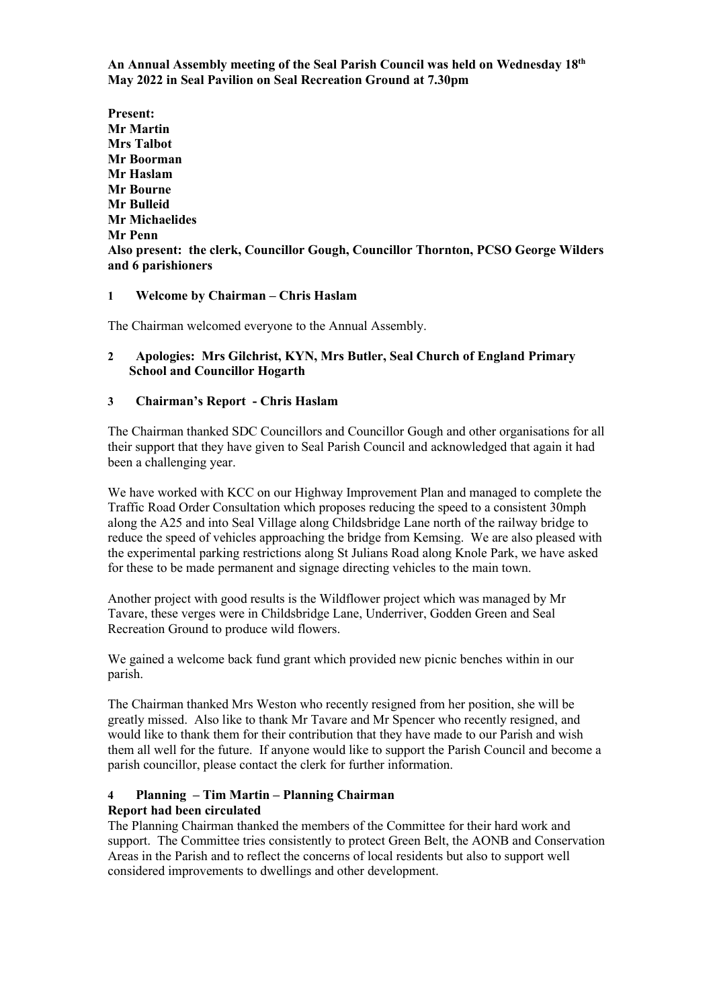**An Annual Assembly meeting of the Seal Parish Council was held on Wednesday 18th May 2022 in Seal Pavilion on Seal Recreation Ground at 7.30pm**

**Present: Mr Martin Mrs Talbot Mr Boorman Mr Haslam Mr Bourne Mr Bulleid Mr Michaelides Mr Penn Also present: the clerk, Councillor Gough, Councillor Thornton, PCSO George Wilders and 6 parishioners**

#### **1 Welcome by Chairman – Chris Haslam**

The Chairman welcomed everyone to the Annual Assembly.

## **2 Apologies: Mrs Gilchrist, KYN, Mrs Butler, Seal Church of England Primary School and Councillor Hogarth**

# **3 Chairman's Report - Chris Haslam**

The Chairman thanked SDC Councillors and Councillor Gough and other organisations for all their support that they have given to Seal Parish Council and acknowledged that again it had been a challenging year.

We have worked with KCC on our Highway Improvement Plan and managed to complete the Traffic Road Order Consultation which proposes reducing the speed to a consistent 30mph along the A25 and into Seal Village along Childsbridge Lane north of the railway bridge to reduce the speed of vehicles approaching the bridge from Kemsing. We are also pleased with the experimental parking restrictions along St Julians Road along Knole Park, we have asked for these to be made permanent and signage directing vehicles to the main town.

Another project with good results is the Wildflower project which was managed by Mr Tavare, these verges were in Childsbridge Lane, Underriver, Godden Green and Seal Recreation Ground to produce wild flowers.

We gained a welcome back fund grant which provided new picnic benches within in our parish.

The Chairman thanked Mrs Weston who recently resigned from her position, she will be greatly missed. Also like to thank Mr Tavare and Mr Spencer who recently resigned, and would like to thank them for their contribution that they have made to our Parish and wish them all well for the future. If anyone would like to support the Parish Council and become a parish councillor, please contact the clerk for further information.

#### **4 Planning – Tim Martin – Planning Chairman Report had been circulated**

The Planning Chairman thanked the members of the Committee for their hard work and support. The Committee tries consistently to protect Green Belt, the AONB and Conservation Areas in the Parish and to reflect the concerns of local residents but also to support well considered improvements to dwellings and other development.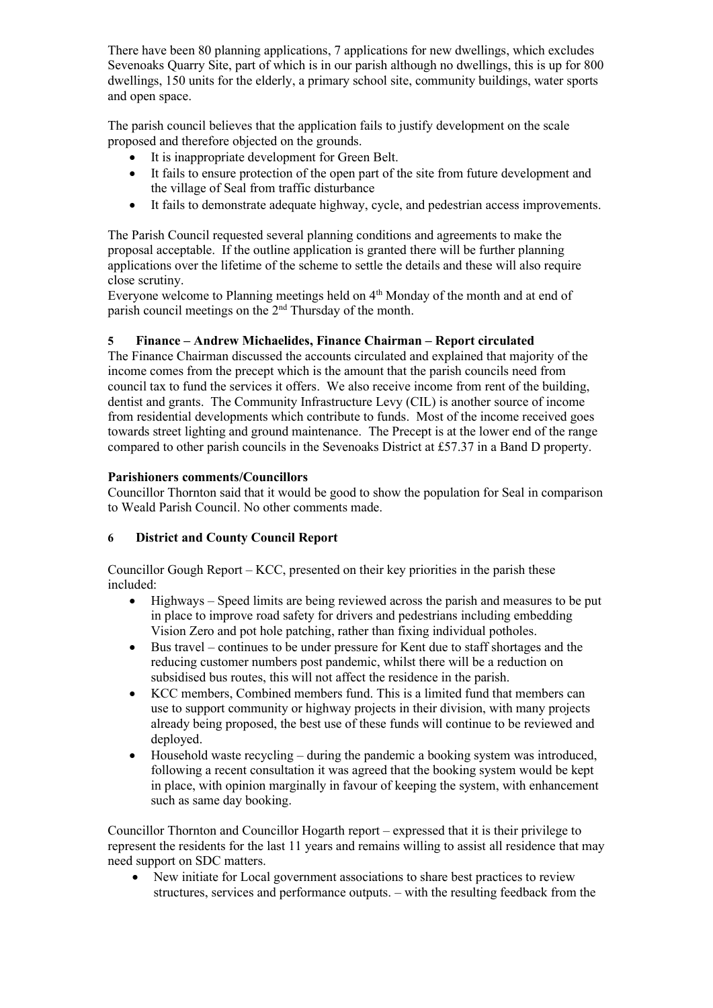There have been 80 planning applications, 7 applications for new dwellings, which excludes Sevenoaks Quarry Site, part of which is in our parish although no dwellings, this is up for 800 dwellings, 150 units for the elderly, a primary school site, community buildings, water sports and open space.

The parish council believes that the application fails to justify development on the scale proposed and therefore objected on the grounds.

- It is inappropriate development for Green Belt.
- It fails to ensure protection of the open part of the site from future development and the village of Seal from traffic disturbance
- It fails to demonstrate adequate highway, cycle, and pedestrian access improvements.

The Parish Council requested several planning conditions and agreements to make the proposal acceptable. If the outline application is granted there will be further planning applications over the lifetime of the scheme to settle the details and these will also require close scrutiny.

Everyone welcome to Planning meetings held on 4<sup>th</sup> Monday of the month and at end of parish council meetings on the 2nd Thursday of the month.

# **5 Finance – Andrew Michaelides, Finance Chairman – Report circulated**

The Finance Chairman discussed the accounts circulated and explained that majority of the income comes from the precept which is the amount that the parish councils need from council tax to fund the services it offers. We also receive income from rent of the building, dentist and grants. The Community Infrastructure Levy (CIL) is another source of income from residential developments which contribute to funds. Most of the income received goes towards street lighting and ground maintenance. The Precept is at the lower end of the range compared to other parish councils in the Sevenoaks District at £57.37 in a Band D property.

# **Parishioners comments/Councillors**

Councillor Thornton said that it would be good to show the population for Seal in comparison to Weald Parish Council. No other comments made.

# **6 District and County Council Report**

Councillor Gough Report – KCC, presented on their key priorities in the parish these included:

- Highways Speed limits are being reviewed across the parish and measures to be put in place to improve road safety for drivers and pedestrians including embedding Vision Zero and pot hole patching, rather than fixing individual potholes.
- Bus travel continues to be under pressure for Kent due to staff shortages and the reducing customer numbers post pandemic, whilst there will be a reduction on subsidised bus routes, this will not affect the residence in the parish.
- KCC members, Combined members fund. This is a limited fund that members can use to support community or highway projects in their division, with many projects already being proposed, the best use of these funds will continue to be reviewed and deployed.
- Household waste recycling during the pandemic a booking system was introduced, following a recent consultation it was agreed that the booking system would be kept in place, with opinion marginally in favour of keeping the system, with enhancement such as same day booking.

Councillor Thornton and Councillor Hogarth report – expressed that it is their privilege to represent the residents for the last 11 years and remains willing to assist all residence that may need support on SDC matters.

• New initiate for Local government associations to share best practices to review structures, services and performance outputs. – with the resulting feedback from the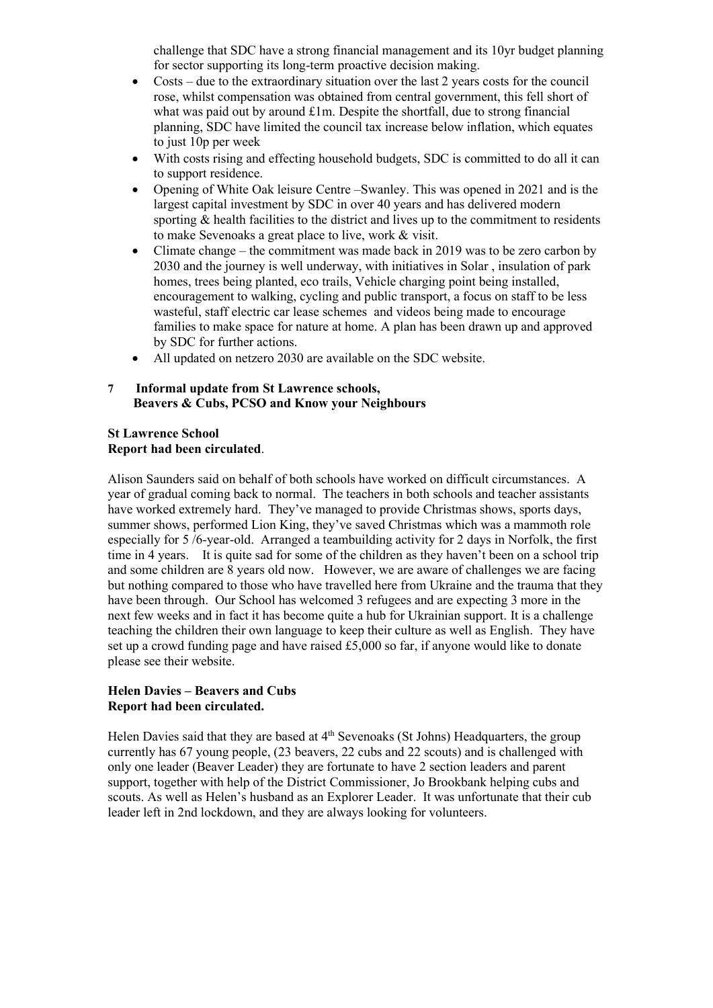challenge that SDC have a strong financial management and its 10yr budget planning for sector supporting its long-term proactive decision making.

- Costs due to the extraordinary situation over the last 2 years costs for the council rose, whilst compensation was obtained from central government, this fell short of what was paid out by around £1m. Despite the shortfall, due to strong financial planning, SDC have limited the council tax increase below inflation, which equates to just 10p per week
- With costs rising and effecting household budgets, SDC is committed to do all it can to support residence.
- Opening of White Oak leisure Centre –Swanley. This was opened in 2021 and is the largest capital investment by SDC in over 40 years and has delivered modern sporting & health facilities to the district and lives up to the commitment to residents to make Sevenoaks a great place to live, work & visit.
- Climate change the commitment was made back in 2019 was to be zero carbon by 2030 and the journey is well underway, with initiatives in Solar , insulation of park homes, trees being planted, eco trails, Vehicle charging point being installed, encouragement to walking, cycling and public transport, a focus on staff to be less wasteful, staff electric car lease schemes and videos being made to encourage families to make space for nature at home. A plan has been drawn up and approved by SDC for further actions.
- All updated on netzero 2030 are available on the SDC website.

#### **7 Informal update from St Lawrence schools, Beavers & Cubs, PCSO and Know your Neighbours**

#### **St Lawrence School Report had been circulated**.

Alison Saunders said on behalf of both schools have worked on difficult circumstances. A year of gradual coming back to normal. The teachers in both schools and teacher assistants have worked extremely hard. They've managed to provide Christmas shows, sports days, summer shows, performed Lion King, they've saved Christmas which was a mammoth role especially for 5 /6-year-old. Arranged a teambuilding activity for 2 days in Norfolk, the first time in 4 years. It is quite sad for some of the children as they haven't been on a school trip and some children are 8 years old now. However, we are aware of challenges we are facing but nothing compared to those who have travelled here from Ukraine and the trauma that they have been through. Our School has welcomed 3 refugees and are expecting 3 more in the next few weeks and in fact it has become quite a hub for Ukrainian support. It is a challenge teaching the children their own language to keep their culture as well as English. They have set up a crowd funding page and have raised £5,000 so far, if anyone would like to donate please see their website.

#### **Helen Davies – Beavers and Cubs Report had been circulated.**

Helen Davies said that they are based at 4<sup>th</sup> Sevenoaks (St Johns) Headquarters, the group currently has 67 young people, (23 beavers, 22 cubs and 22 scouts) and is challenged with only one leader (Beaver Leader) they are fortunate to have 2 section leaders and parent support, together with help of the District Commissioner, Jo Brookbank helping cubs and scouts. As well as Helen's husband as an Explorer Leader. It was unfortunate that their cub leader left in 2nd lockdown, and they are always looking for volunteers.